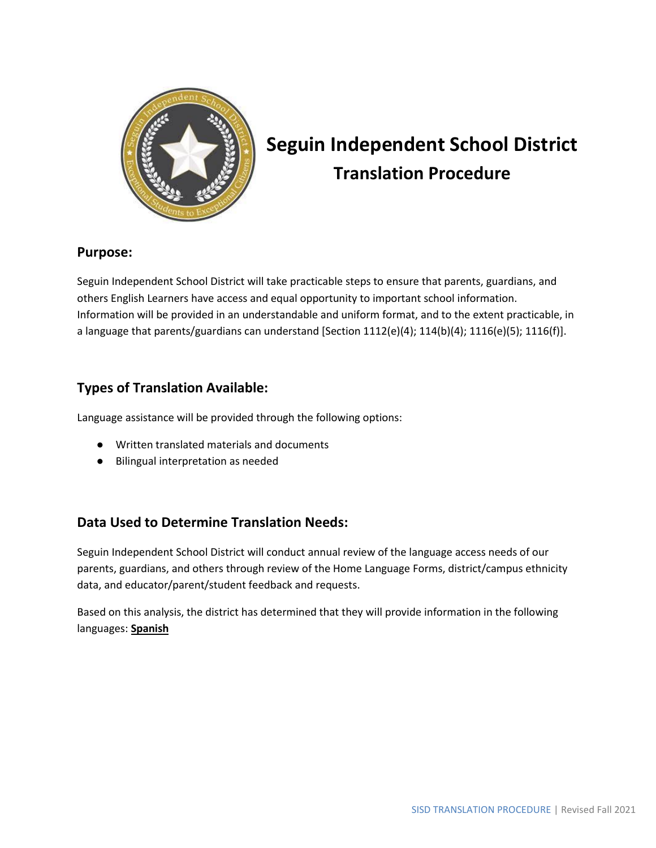

# **Seguin Independent School District Translation Procedure**

#### **Purpose:**

Seguin Independent School District will take practicable steps to ensure that parents, guardians, and others English Learners have access and equal opportunity to important school information. Information will be provided in an understandable and uniform format, and to the extent practicable, in a language that parents/guardians can understand [Section 1112(e)(4); 114(b)(4); 1116(e)(5); 1116(f)].

## **Types of Translation Available:**

Language assistance will be provided through the following options:

- Written translated materials and documents
- Bilingual interpretation as needed

## **Data Used to Determine Translation Needs:**

Seguin Independent School District will conduct annual review of the language access needs of our parents, guardians, and others through review of the Home Language Forms, district/campus ethnicity data, and educator/parent/student feedback and requests.

Based on this analysis, the district has determined that they will provide information in the following languages: **Spanish**